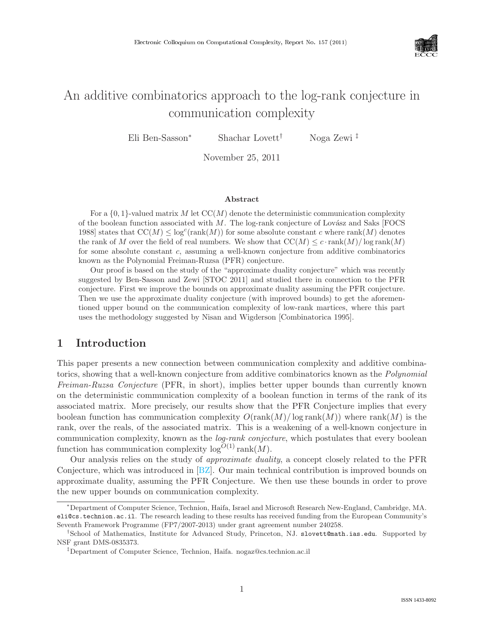

# An additive combinatorics approach to the log-rank conjecture in communication complexity

Eli Ben-Sasson<sup>∗</sup> Shachar Lovett† Noga Zewi ‡

November 25, 2011

#### Abstract

For a  $\{0, 1\}$ -valued matrix M let  $CC(M)$  denote the deterministic communication complexity of the boolean function associated with  $M$ . The log-rank conjecture of Lovász and Saks [FOCS] 1988] states that  $CC(M) \leq log^{c}(rank(M))$  for some absolute constant c where rank $(M)$  denotes the rank of M over the field of real numbers. We show that  $CC(M) \leq c \cdot \text{rank}(M)/\log \text{rank}(M)$ for some absolute constant  $c$ , assuming a well-known conjecture from additive combinatorics known as the Polynomial Freiman-Ruzsa (PFR) conjecture.

Our proof is based on the study of the "approximate duality conjecture" which was recently suggested by Ben-Sasson and Zewi [STOC 2011] and studied there in connection to the PFR conjecture. First we improve the bounds on approximate duality assuming the PFR conjecture. Then we use the approximate duality conjecture (with improved bounds) to get the aforementioned upper bound on the communication complexity of low-rank martices, where this part uses the methodology suggested by Nisan and Wigderson [Combinatorica 1995].

### 1 Introduction

This paper presents a new connection between communication complexity and additive combinatorics, showing that a well-known conjecture from additive combinatorics known as the *Polynomial Freiman-Ruzsa Conjecture* (PFR, in short), implies better upper bounds than currently known on the deterministic communication complexity of a boolean function in terms of the rank of its associated matrix. More precisely, our results show that the PFR Conjecture implies that every boolean function has communication complexity  $O(\text{rank}(M)/\log \text{rank}(M))$  where  $\text{rank}(M)$  is the rank, over the reals, of the associated matrix. This is a weakening of a well-known conjecture in communication complexity, known as the *log-rank conjecture*, which postulates that every boolean function has communication complexity  $log^{O(1)}$  rank $(M)$ .

Our analysis relies on the study of *approximate duality*, a concept closely related to the PFR Conjecture, which was introduced in [\[BZ\]](#page--1-0). Our main technical contribution is improved bounds on approximate duality, assuming the PFR Conjecture. We then use these bounds in order to prove the new upper bounds on communication complexity.

<sup>∗</sup>Department of Computer Science, Technion, Haifa, Israel and Microsoft Research New-England, Cambridge, MA. eli@cs.technion.ac.il. The research leading to these results has received funding from the European Community's Seventh Framework Programme (FP7/2007-2013) under grant agreement number 240258.

<sup>†</sup>School of Mathematics, Institute for Advanced Study, Princeton, NJ. slovett@math.ias.edu. Supported by NSF grant DMS-0835373.

<sup>‡</sup>Department of Computer Science, Technion, Haifa. nogaz@cs.technion.ac.il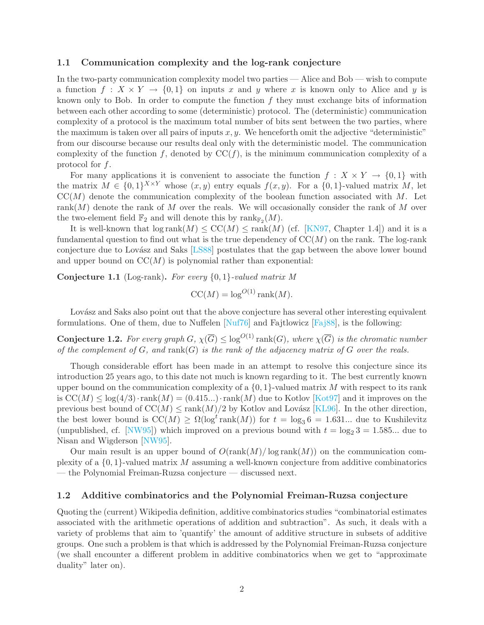#### 1.1 Communication complexity and the log-rank conjecture

In the two-party communication complexity model two parties — Alice and Bob — wish to compute a function  $f: X \times Y \to \{0,1\}$  on inputs x and y where x is known only to Alice and y is known only to Bob. In order to compute the function  $f$  they must exchange bits of information between each other according to some (deterministic) protocol. The (deterministic) communication complexity of a protocol is the maximum total number of bits sent between the two parties, where the maximum is taken over all pairs of inputs  $x, y$ . We henceforth omit the adjective "deterministic" from our discourse because our results deal only with the deterministic model. The communication complexity of the function f, denoted by  $CC(f)$ , is the minimum communication complexity of a protocol for f.

For many applications it is convenient to associate the function  $f: X \times Y \to \{0,1\}$  with the matrix  $M \in \{0,1\}^{X \times Y}$  whose  $(x, y)$  entry equals  $f(x, y)$ . For a  $\{0, 1\}$ -valued matrix M, let  $CC(M)$  denote the communication complexity of the boolean function associated with M. Let rank $(M)$  denote the rank of M over the reals. We will occasionally consider the rank of M over the two-element field  $\mathbb{F}_2$  and will denote this by  $\text{rank}_{\mathbb{F}_2}(M)$ .

It is well-known that  $\log \text{rank}(M) \leq \text{CC}(M) \leq \text{rank}(M)$  (cf. [\[KN97,](#page-12-0) Chapter 1.4]) and it is a fundamental question to find out what is the true dependency of  $CC(M)$  on the rank. The log-rank conjecture due to Lovász and Saks [\[LS88\]](#page-12-1) postulates that the gap between the above lower bound and upper bound on  $CC(M)$  is polynomial rather than exponential:

Conjecture 1.1 (Log-rank). *For every* {0, 1}*-valued matrix M*

$$
CC(M) = \log^{O(1)} \text{rank}(M).
$$

Lovász and Saks also point out that the above conjecture has several other interesting equivalent formulations. One of them, due to Nuffelen  $\text{Nu}76\text{]}$  and Fajtlowicz  $\text{Fa}388\text{]}$ , is the following:

**Conjecture 1.2.** For every graph  $G$ ,  $\chi(\overline{G}) \leq \log^{O(1)} \text{rank}(G)$ , where  $\chi(\overline{G})$  is the chromatic number *of the complement of* G*, and* rank(G) *is the rank of the adjacency matrix of* G *over the reals.*

Though considerable effort has been made in an attempt to resolve this conjecture since its introduction 25 years ago, to this date not much is known regarding to it. The best currently known upper bound on the communication complexity of a  $\{0, 1\}$ -valued matrix M with respect to its rank is  $CC(M) \leq log(4/3) \cdot rank(M) = (0.415...) \cdot rank(M)$  due to Kotlov [\[Kot97\]](#page-12-4) and it improves on the previous best bound of  $CC(M) \leq \text{rank}(M)/2$  by Kotlov and Lovász [\[KL96\]](#page-12-5). In the other direction, the best lower bound is  $CC(M) \ge \Omega(\log^t \text{rank}(M))$  for  $t = \log_3 6 = 1.631...$  due to Kushilevitz (unpublished, cf. [\[NW95\]](#page--1-1)) which improved on a previous bound with  $t = \log_2 3 = 1.585...$  due to Nisan and Wigderson [\[NW95\]](#page--1-1).

Our main result is an upper bound of  $O(\text{rank}(M)/\log \text{rank}(M))$  on the communication complexity of a  $\{0,1\}$ -valued matrix M assuming a well-known conjecture from additive combinatorics — the Polynomial Freiman-Ruzsa conjecture — discussed next.

#### 1.2 Additive combinatorics and the Polynomial Freiman-Ruzsa conjecture

Quoting the (current) Wikipedia definition, additive combinatorics studies "combinatorial estimates associated with the arithmetic operations of addition and subtraction". As such, it deals with a variety of problems that aim to 'quantify' the amount of additive structure in subsets of additive groups. One such a problem is that which is addressed by the Polynomial Freiman-Ruzsa conjecture (we shall encounter a different problem in additive combinatorics when we get to "approximate duality" later on).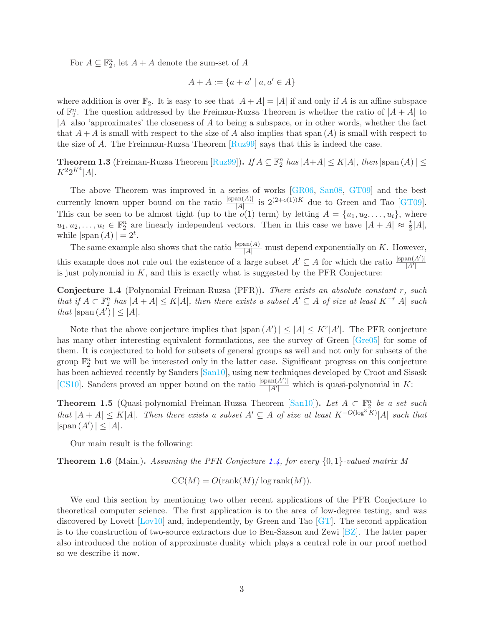For  $A \subseteq \mathbb{F}_2^n$ , let  $A + A$  denote the sum-set of  $A$ 

$$
A + A := \{a + a' \mid a, a' \in A\}
$$

where addition is over  $\mathbb{F}_2$ . It is easy to see that  $|A + A| = |A|$  if and only if A is an affine subspace of  $\mathbb{F}_2^n$ . The question addressed by the Freiman-Ruzsa Theorem is whether the ratio of  $|A + A|$  to |A| also 'approximates' the closeness of A to being a subspace, or in other words, whether the fact that  $A + A$  is small with respect to the size of A also implies that span  $(A)$  is small with respect to the size of A. The Freimnan-Ruzsa Theorem  $\lceil \text{Ru299} \rceil$  says that this is indeed the case.

**Theorem 1.3** (Freiman-Ruzsa Theorem  $[\text{Ruz99}]$ ). *If*  $A \subseteq \mathbb{F}_2^n$  has  $|A+A| \le K|A|$ , then  $|\text{span}(A)| \le$  $K^2 2^{K^4} |A|$ .

The above Theorem was improved in a series of works [\[GR06,](#page-12-6) [San08,](#page--1-3) [GT09\]](#page-12-7) and the best currently known upper bound on the ratio  $\frac{|\text{span}(A)|}{|A|}$  is  $2^{(2+o(1))K}$  due to Green and Tao [\[GT09\]](#page-12-7). This can be seen to be almost tight (up to the  $o(1)$  term) by letting  $A = \{u_1, u_2, \ldots, u_t\}$ , where  $u_1, u_2, \ldots, u_t \in \mathbb{F}_2^n$  are linearly independent vectors. Then in this case we have  $|A + A| \approx \frac{t}{2}|A|$ , while  $|\text{span}(A)| = 2^t$ .

The same example also shows that the ratio  $\frac{|\text{span}(A)|}{|A|}$  must depend exponentially on K. However, this example does not rule out the existence of a large subset  $A' \subseteq A$  for which the ratio  $\frac{|span(A')|}{|A'|}$  $|A'|$ is just polynomial in  $K$ , and this is exactly what is suggested by the PFR Conjecture:

<span id="page-2-0"></span>Conjecture 1.4 (Polynomial Freiman-Ruzsa (PFR)). *There exists an absolute constant* r*, such that if*  $A \subset \mathbb{F}_2^n$  *has*  $|A + A| \le K|A|$ *, then there exists a subset*  $A' \subseteq A$  *of size at least*  $K^{-r}|A|$  *such that*  $|\text{span}(A')| \leq |A|$ *.* 

Note that the above conjecture implies that  $|\text{span}(A')| \leq |A| \leq K^r |A'|$ . The PFR conjecture has many other interesting equivalent formulations, see the survey of Green [\[Gre05\]](#page-12-8) for some of them. It is conjectured to hold for subsets of general groups as well and not only for subsets of the group  $\mathbb{F}_2^n$  but we will be interested only in the latter case. Significant progress on this conjecture has been achieved recently by Sanders [\[San10\]](#page--1-4), using new techniques developed by Croot and Sisask [\[CS10\]](#page-12-9). Sanders proved an upper bound on the ratio  $\frac{|\text{span}(A')|}{|A'|}$  $\frac{\text{Im}(A)}{|A'|}$  which is quasi-polynomial in K:

Theorem 1.5 (Quasi-polynomial Freiman-Ruzsa Theorem [\[San10\]](#page--1-4)). *Let* <sup>A</sup> <sup>⊂</sup> <sup>F</sup> n 2 *be a set such*  $that$   $|A + A|$  ≤ K|A|*.* Then there exists a subset  $A' ⊆ A$  of size at least  $K^{-O(\log^3 K)}|A|$  such that  $|\text{span}(A')| \leq |A|.$ 

Our main result is the following:

<span id="page-2-1"></span>Theorem 1.6 (Main.). *Assuming the PFR Conjecture [1.4,](#page-2-0) for every* {0, 1}*-valued matrix M*

$$
CC(M) = O(\operatorname{rank}(M)/\log \operatorname{rank}(M)).
$$

We end this section by mentioning two other recent applications of the PFR Conjecture to theoretical computer science. The first application is to the area of low-degree testing, and was discovered by Lovett [\[Lov10\]](#page-12-10) and, independently, by Green and Tao [\[GT\]](#page-12-11). The second application is to the construction of two-source extractors due to Ben-Sasson and Zewi  $\sqrt{BZ}$ . The latter paper also introduced the notion of approximate duality which plays a central role in our proof method so we describe it now.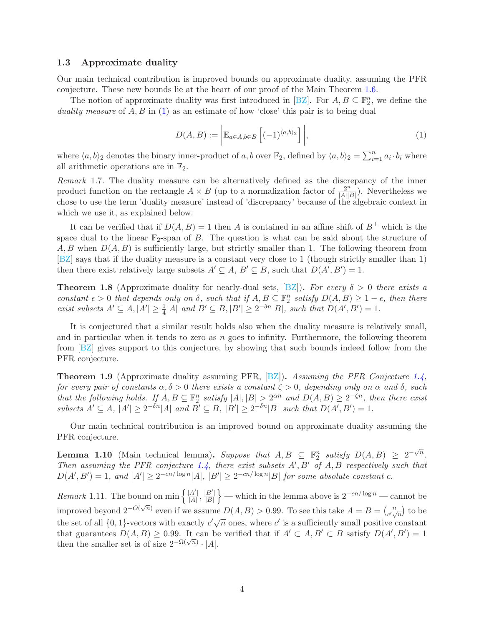#### 1.3 Approximate duality

Our main technical contribution is improved bounds on approximate duality, assuming the PFR conjecture. These new bounds lie at the heart of our proof of the Main Theorem [1.6.](#page-2-1)

The notion of approximate duality was first introduced in [\[BZ\]](#page-12-12). For  $A, B \subseteq \mathbb{F}_2^n$ , we define the *duality measure* of A, B in [\(1\)](#page-3-0) as an estimate of how 'close' this pair is to being dual

<span id="page-3-0"></span>
$$
D(A, B) := \left| \mathbb{E}_{a \in A, b \in B} \left[ (-1)^{\langle a, b \rangle_2} \right] \right|,
$$
\n(1)

where  $\langle a, b \rangle$ <sub>2</sub> denotes the binary inner-product of a, b over  $\mathbb{F}_2$ , defined by  $\langle a, b \rangle_2 = \sum_{i=1}^n a_i \cdot b_i$  where all arithmetic operations are in  $\mathbb{F}_2$ .

*Remark* 1.7*.* The duality measure can be alternatively defined as the discrepancy of the inner product function on the rectangle  $A \times B$  (up to a normalization factor of  $\frac{2^n}{|A||p|}$  $\frac{2^n}{|A||B|}$ ). Nevertheless we chose to use the term 'duality measure' instead of 'discrepancy' because of the algebraic context in which we use it, as explained below.

It can be verified that if  $D(A, B) = 1$  then A is contained in an affine shift of  $B^{\perp}$  which is the space dual to the linear  $\mathbb{F}_2$ -span of B. The question is what can be said about the structure of  $A, B$  when  $D(A, B)$  is sufficiently large, but strictly smaller than 1. The following theorem from [\[BZ\]](#page-12-12) says that if the duality measure is a constant very close to 1 (though strictly smaller than 1) then there exist relatively large subsets  $A' \subseteq A$ ,  $B' \subseteq B$ , such that  $D(A', B') = 1$ .

**Theorem 1.8** (Approximate duality for nearly-dual sets,  $[{\rm BZ}]$ ). For every  $\delta > 0$  there exists a *constant*  $\epsilon > 0$  *that depends only on*  $\delta$ *, such that if*  $A, B \subseteq \mathbb{F}_2^n$  *satisfy*  $D(A, B) \geq 1 - \epsilon$ *, then there exist subsets*  $A' \subseteq A$ ,  $|A'| \geq \frac{1}{4}|A|$  *and*  $B' \subseteq B$ ,  $|B'| \geq 2^{-\delta n}|B|$ *, such that*  $D(A', B') = 1$ *.* 

It is conjectured that a similar result holds also when the duality measure is relatively small, and in particular when it tends to zero as  $n$  goes to infinity. Furthermore, the following theorem from [\[BZ\]](#page-12-12) gives support to this conjecture, by showing that such bounds indeed follow from the PFR conjecture.

<span id="page-3-2"></span>Theorem 1.9 (Approximate duality assuming PFR, [\[BZ\]](#page-12-12)). *Assuming the PFR Conjecture [1.4,](#page-2-0) for every pair of constants*  $\alpha, \delta > 0$  *there exists a constant*  $\zeta > 0$ *, depending only on*  $\alpha$  *and*  $\delta$ *, such that the following holds.* If  $A, B \subseteq \mathbb{F}_2^n$  satisfy  $|A|, |B| > 2^{\alpha n}$  and  $D(A, B) \geq 2^{-\zeta n}$ , then there exist  $subsets A' \subseteq A, |A'| \geq 2^{-\delta n} |A| \text{ and } B' \subseteq B, |B'| \geq 2^{-\delta n} |B| \text{ such that } D(A', B') = 1.$ 

<span id="page-3-1"></span>Our main technical contribution is an improved bound on approximate duality assuming the PFR conjecture.

**Lemma 1.10** (Main technical lemma). Suppose that  $A, B \subseteq \mathbb{F}_2^n$  satisfy  $D(A, B) \geq 2^{-\sqrt{n}}$ . *Then assuming the PFR conjecture [1.4,](#page-2-0) there exist subsets* A′ , B′ *of* A, B *respectively such that*  $D(A', B') = 1$ , and  $|A'| \geq 2^{-cn/\log n} |A|$ ,  $|B'| \geq 2^{-cn/\log n} |B|$  for some absolute constant c.

*Remark* 1.11. The bound on min  $\left\{ \frac{|A'|}{|A|}, \frac{|B'|}{|B|} \right\}$  $\}$  — which in the lemma above is  $2^{-cn/\log n}$  — cannot be improved beyond  $2^{-O(\sqrt{n})}$  even if we assume  $D(A, B) > 0.99$ . To see this take  $A = B = {n \choose a}$  $\binom{n}{c'\sqrt{n}}$  to be the set of all  $\{0,1\}$ -vectors with exactly  $c'\sqrt{n}$  ones, where c' is a sufficiently small positive constant that guarantees  $D(A, B) \ge 0.99$ . It can be verified that if  $A' \subset A, B' \subset B$  satisfy  $D(A', B') = 1$ then the smaller set is of size  $2^{-\Omega(\sqrt{n})} \cdot |A|$ .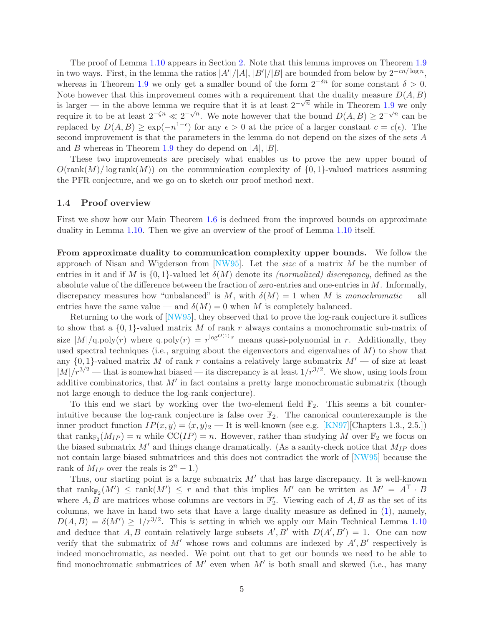The proof of Lemma [1.10](#page-3-1) appears in Section [2.](#page-5-0) Note that this lemma improves on Theorem [1.9](#page-3-2) in two ways. First, in the lemma the ratios  $|A'|/|A|, |B'|/|B|$  are bounded from below by  $2^{-cn/\log n}$ , whereas in Theorem [1.9](#page-3-2) we only get a smaller bound of the form  $2^{-\delta n}$  for some constant  $\delta > 0$ . Note however that this improvement comes with a requirement that the duality measure  $D(A, B)$ is larger — in the above lemma we require that it is at least  $2^{-\sqrt{n}}$  while in Theorem [1.9](#page-3-2) we only require it to be at least  $2^{-\zeta n} \ll 2^{-\sqrt{n}}$ . We note however that the bound  $D(A, B) \ge 2^{-\sqrt{n}}$  can be replaced by  $D(A, B) \geq \exp(-n^{1-\epsilon})$  for any  $\epsilon > 0$  at the price of a larger constant  $c = c(\epsilon)$ . The second improvement is that the parameters in the lemma do not depend on the sizes of the sets A and B whereas in Theorem [1.9](#page-3-2) they do depend on  $|A|, |B|$ .

These two improvements are precisely what enables us to prove the new upper bound of  $O(\text{rank}(M)/\log \text{rank}(M))$  on the communication complexity of  $\{0, 1\}$ -valued matrices assuming the PFR conjecture, and we go on to sketch our proof method next.

#### 1.4 Proof overview

First we show how our Main Theorem [1.6](#page-2-1) is deduced from the improved bounds on approximate duality in Lemma [1.10.](#page-3-1) Then we give an overview of the proof of Lemma [1.10](#page-3-1) itself.

From approximate duality to communication complexity upper bounds. We follow the approach of Nisan and Wigderson from [\[NW95\]](#page--1-1). Let the *size* of a matrix M be the number of entries in it and if M is  $\{0,1\}$ -valued let  $\delta(M)$  denote its *(normalized) discrepancy*, defined as the absolute value of the difference between the fraction of zero-entries and one-entries in  $M$ . Informally, discrepancy measures how "unbalanced" is M, with  $\delta(M) = 1$  when M is *monochromatic* — all entries have the same value — and  $\delta(M) = 0$  when M is completely balanced.

Returning to the work of [\[NW95\]](#page--1-1), they observed that to prove the log-rank conjecture it suffices to show that a  $\{0,1\}$ -valued matrix M of rank r always contains a monochromatic sub-matrix of size  $|M|/q$ .poly $(r)$  where q.poly $(r) = r^{\log^{O(1)} r}$  means quasi-polynomial in r. Additionally, they used spectral techniques (i.e., arguing about the eigenvectors and eigenvalues of  $M$ ) to show that any  $\{0,1\}$ -valued matrix M of rank r contains a relatively large submatrix  $M'$  — of size at least  $|M|/r^{3/2}$  — that is somewhat biased — its discrepancy is at least  $1/r^{3/2}$ . We show, using tools from additive combinatorics, that  $M'$  in fact contains a pretty large monochromatic submatrix (though not large enough to deduce the log-rank conjecture).

To this end we start by working over the two-element field  $\mathbb{F}_2$ . This seems a bit counterintuitive because the log-rank conjecture is false over  $\mathbb{F}_2$ . The canonical counterexample is the inner product function  $IP(x, y) = \langle x, y \rangle_2$  — It is well-known (see e.g. [\[KN97\]](#page-12-0)[Chapters 1.3., 2.5.]) that  $\text{rank}_{\mathbb{F}_2}(M_{IP}) = n$  while  $\text{CC}(IP) = n$ . However, rather than studying M over  $\mathbb{F}_2$  we focus on the biased submatrix  $M'$  and things change dramatically. (As a sanity-check notice that  $M_{IP}$  does not contain large biased submatrices and this does not contradict the work of [\[NW95\]](#page--1-1) because the rank of  $M_{IP}$  over the reals is  $2^n - 1$ .)

Thus, our starting point is a large submatrix  $M'$  that has large discrepancy. It is well-known that  $\text{rank}_{\mathbb{F}_2}(M') \leq \text{rank}(M') \leq r$  and that this implies M' can be written as  $M' = A^{\perp} \cdot B$ where  $A, B$  are matrices whose columns are vectors in  $\mathbb{F}_2^r$ . Viewing each of  $A, B$  as the set of its columns, we have in hand two sets that have a large duality measure as defined in [\(1\)](#page-3-0), namely,  $D(A, B) = \delta(M') \ge 1/r^{3/2}$ . This is setting in which we apply our Main Technical Lemma [1.10](#page-3-1) and deduce that A, B contain relatively large subsets  $A', B'$  with  $D(A', B') = 1$ . One can now verify that the submatrix of M' whose rows and columns are indexed by  $A', B'$  respectively is indeed monochromatic, as needed. We point out that to get our bounds we need to be able to find monochromatic submatrices of  $M'$  even when  $M'$  is both small and skewed (i.e., has many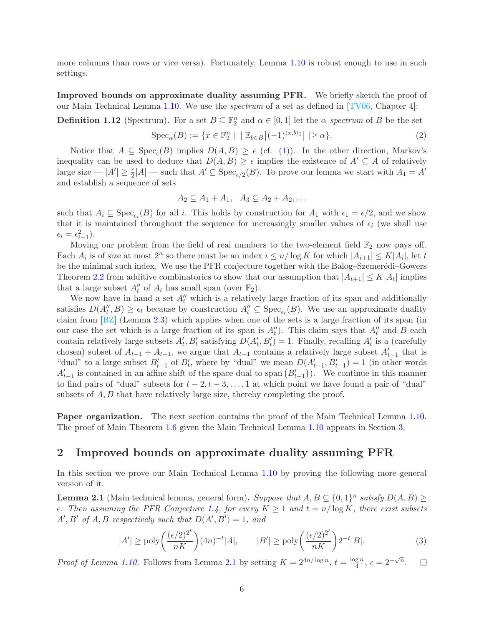more columns than rows or vice versa). Fortunately, Lemma [1.10](#page-3-1) is robust enough to use in such settings.

Improved bounds on approximate duality assuming PFR. We briefly sketch the proof of our Main Technical Lemma [1.10.](#page-3-1) We use the *spectrum* of a set as defined in [\[TV06,](#page--1-5) Chapter 4]:

<span id="page-5-2"></span>**Definition 1.12** (Spectrum). For a set  $B \subseteq \mathbb{F}_2^n$  and  $\alpha \in [0,1]$  let the  $\alpha$ -spectrum of B be the set

$$
\operatorname{Spec}_{\alpha}(B) := \{ x \in \mathbb{F}_2^n \mid \, \mid \mathbb{E}_{b \in B} \left[ (-1)^{\langle x, b \rangle_2} \right] \mid \ge \alpha \}. \tag{2}
$$

Notice that  $A \subseteq \text{Spec}_{\epsilon}(B)$  implies  $D(A, B) \ge \epsilon$  (cf. [\(1\)](#page-3-0)). In the other direction, Markov's inequality can be used to deduce that  $D(A, B) \geq \epsilon$  implies the existence of  $A' \subseteq A$  of relatively large size  $-|A'|\geq \frac{\epsilon}{2}|A|$  — such that  $A'\subseteq \text{Spec}_{\epsilon/2}(B)$ . To prove our lemma we start with  $A_1=A'$ and establish a sequence of sets

$$
A_2 \subseteq A_1 + A_1, \quad A_3 \subseteq A_2 + A_2, \dots
$$

such that  $A_i \subseteq \text{Spec}_{\epsilon_i}(B)$  for all i. This holds by construction for  $A_1$  with  $\epsilon_1 = \epsilon/2$ , and we show that it is maintained throughout the sequence for increasingly smaller values of  $\epsilon_i$  (we shall use  $\epsilon_i = \epsilon_{i-1}^2$ .

Moving our problem from the field of real numbers to the two-element field  $\mathbb{F}_2$  now pays off. Each  $A_i$  is of size at most  $2^n$  so there must be an index  $i \leq n/\log K$  for which  $|A_{i+1}| \leq K|A_i|$ , let t be the minimal such index. We use the PFR conjecture together with the Balog–Szemerédi–Gowers Theorem [2.2](#page-6-0) from additive combinatorics to show that our assumption that  $|A_{t+1}| \leq K |A_t|$  implies that a large subset  $A''_t$  of  $A_t$  has small span (over  $\mathbb{F}_2$ ).

We now have in hand a set  $A''_t$  which is a relatively large fraction of its span and additionally satisfies  $D(A''_t, B) \geq \epsilon_t$  because by construction  $A''_t \subseteq \text{Spec}_{\epsilon_t}(B)$ . We use an approximate duality claim from [\[BZ\]](#page-12-12) (Lemma [2.3\)](#page-6-1) which applies when one of the sets is a large fraction of its span (in our case the set which is a large fraction of its span is  $A''_t$ ). This claim says that  $A''_t$  and B each contain relatively large subsets  $A'_t$ ,  $B'_t$  satisfying  $D(A'_t, B'_t) = 1$ . Finally, recalling  $A'_t$  is a (carefully chosen) subset of  $A_{t-1} + A_{t-1}$ , we argue that  $A_{t-1}$  contains a relatively large subset  $A'_{t-1}$  that is "dual" to a large subset  $B'_{t-1}$  of  $B'_{t}$ , where by "dual" we mean  $D(A'_{t-1}, B'_{t-1}) = 1$  (in other words  $A'_{t-1}$  is contained in an affine shift of the space dual to span  $(B'_{t-1})$ ). We continue in this manner to find pairs of "dual" subsets for  $t - 2, t - 3, \ldots, 1$  at which point we have found a pair of "dual" subsets of A, B that have relatively large size, thereby completing the proof.

Paper organization. The next section contains the proof of the Main Technical Lemma [1.10.](#page-3-1) The proof of Main Theorem [1.6](#page-2-1) given the Main Technical Lemma [1.10](#page-3-1) appears in Section [3.](#page-9-0)

### <span id="page-5-0"></span>2 Improved bounds on approximate duality assuming PFR

<span id="page-5-1"></span>In this section we prove our Main Technical Lemma [1.10](#page-3-1) by proving the following more general version of it.

**Lemma 2.1** (Main technical lemma, general form). Suppose that  $A, B \subseteq \{0, 1\}^n$  satisfy  $D(A, B) \ge$  $\epsilon$ . Then assuming the PFR Conjecture [1.4,](#page-2-0) for every  $K \geq 1$  and  $t = n/\log K$ , there exist subsets  $A', B'$  of  $A, B$  respectively such that  $D(A', B') = 1$ , and

$$
|A'| \ge \text{poly}\bigg(\frac{(\epsilon/2)^{2^t}}{nK}\bigg)(4n)^{-t}|A|, \qquad |B'| \ge \text{poly}\bigg(\frac{(\epsilon/2)^{2^t}}{nK}\bigg)2^{-t}|B|.
$$
 (3)

<span id="page-5-3"></span> $\frac{\mathrm{g}\,n}{4},\,\epsilon=2^{-\sqrt{n}}.$ *Proof of Lemma [1.10.](#page-3-1)* Follows from Lemma [2.1](#page-5-1) by setting  $K = 2^{4n/\log n}$ ,  $t = \frac{\log n}{4}$  $\Box$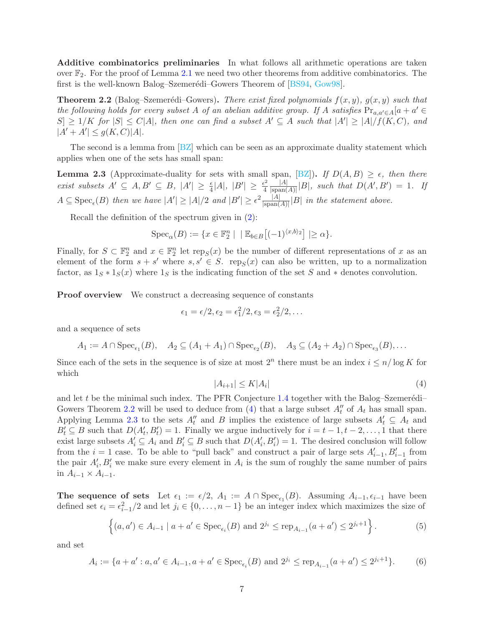Additive combinatorics preliminaries In what follows all arithmetic operations are taken over  $\mathbb{F}_2$ . For the proof of Lemma [2.1](#page-5-1) we need two other theorems from additive combinatorics. The first is the well-known Balog–Szemerédi–Gowers Theorem of  $[BS94, Gow98]$  $[BS94, Gow98]$ .

<span id="page-6-0"></span>**Theorem 2.2** (Balog–Szemerédi–Gowers). *There exist fixed polynomials*  $f(x, y)$ *,*  $g(x, y)$  *such that the following holds for every subset* A *of an abelian additive group.* If A *satisfies*  $Pr_{a,a'\in A}[a+a'\in A]$  $|S| \geq 1/K$  for  $|S| \leq C|A|$ , then one can find a subset  $A' \subseteq A$  such that  $|A'| \geq |A|/f(K, C)$ , and  $|A' + A'| \le g(K, C)|A|.$ 

<span id="page-6-1"></span>The second is a lemma from [\[BZ\]](#page-12-12) which can be seen as an approximate duality statement which applies when one of the sets has small span:

**Lemma 2.3** (Approximate-duality for sets with small span, [\[BZ\]](#page-12-12)). *If*  $D(A, B) \geq \epsilon$ *, then there exist subsets*  $A' \subseteq A, B' \subseteq B, |A'| \geq \frac{\epsilon}{4}|A|, |B'| \geq \frac{\epsilon^2}{4}$  $rac{1}{4}$   $\frac{|A|}{|\text{span}($  $\frac{|A|}{|\text{span}(A)|}|B|$ *, such that*  $D(A', B') = 1$ *. If*  $A \subseteq \text{Spec}_{\epsilon}(B)$  then we have  $|A'| \geq |A|/2$  and  $|B'| \geq \epsilon^2 \frac{|A|}{|\text{span}(A)|}$  $\frac{|A|}{|\text{span}(A)|} |B|$  *in the statement above.* 

Recall the definition of the spectrum given in [\(2\)](#page-5-2):

$$
Spec_{\alpha}(B) := \{ x \in \mathbb{F}_2^n \mid \, | \, \mathbb{E}_{b \in B} \big[ (-1)^{\langle x, b \rangle_2} \big] \ge \alpha \}.
$$

Finally, for  $S \subset \mathbb{F}_2^n$  and  $x \in \mathbb{F}_2^n$  let  $\text{rep}_S(x)$  be the number of different representations of x as an element of the form  $s + s'$  where  $s, s' \in S$ . rep<sub>S</sub> $(x)$  can also be written, up to a normalization factor, as  $1_S * 1_S(x)$  where  $1_S$  is the indicating function of the set S and  $*$  denotes convolution.

**Proof overview** We construct a decreasing sequence of constants

$$
\epsilon_1=\epsilon/2, \epsilon_2=\epsilon_1^2/2, \epsilon_3=\epsilon_2^2/2, \ldots
$$

and a sequence of sets

$$
A_1 := A \cap \operatorname{Spec}_{\epsilon_1}(B), \quad A_2 \subseteq (A_1 + A_1) \cap \operatorname{Spec}_{\epsilon_2}(B), \quad A_3 \subseteq (A_2 + A_2) \cap \operatorname{Spec}_{\epsilon_3}(B), \dots
$$

Since each of the sets in the sequence is of size at most  $2^n$  there must be an index  $i \leq n/\log K$  for which

<span id="page-6-2"></span>
$$
|A_{i+1}| \le K|A_i| \tag{4}
$$

and let t be the minimal such index. The PFR Conjecture  $1.4$  together with the Balog–Szemerédi– Gowers Theorem [2.2](#page-6-0) will be used to deduce from [\(4\)](#page-6-2) that a large subset  $A''_t$  of  $A_t$  has small span. Applying Lemma [2.3](#page-6-1) to the sets  $A''_t$  and B implies the existence of large subsets  $A'_t \subseteq A_t$  and  $B'_t \subseteq B$  such that  $D(A'_t, B'_t) = 1$ . Finally we argue inductively for  $i = t - 1, t - 2, \ldots, 1$  that there exist large subsets  $A'_i \subseteq A_i$  and  $B'_i \subseteq B$  such that  $D(A'_i, B'_i) = 1$ . The desired conclusion will follow from the  $i = 1$  case. To be able to "pull back" and construct a pair of large sets  $A'_{i-1}, B'_{i-1}$  from the pair  $A'_{i}, B'_{i}$  we make sure every element in  $A_{i}$  is the sum of roughly the same number of pairs in  $A_{i-1} \times A_{i-1}$ .

The sequence of sets Let  $\epsilon_1 := \epsilon/2$ ,  $A_1 := A \cap \text{Spec}_{\epsilon_1}(B)$ . Assuming  $A_{i-1}, \epsilon_{i-1}$  have been defined set  $\epsilon_i = \epsilon_{i-1}^2/2$  and let  $j_i \in \{0, \ldots, n-1\}$  be an integer index which maximizes the size of

$$
\left\{(a, a') \in A_{i-1} \mid a + a' \in \text{Spec}_{\epsilon_i}(B) \text{ and } 2^{j_i} \le \text{rep}_{A_{i-1}}(a + a') \le 2^{j_i+1}\right\}.
$$
 (5)

<span id="page-6-4"></span><span id="page-6-3"></span>and set

$$
A_i := \{ a + a' : a, a' \in A_{i-1}, a + a' \in \text{Spec}_{\epsilon_i}(B) \text{ and } 2^{j_i} \le \text{rep}_{A_{i-1}}(a + a') \le 2^{j_i+1} \}. \tag{6}
$$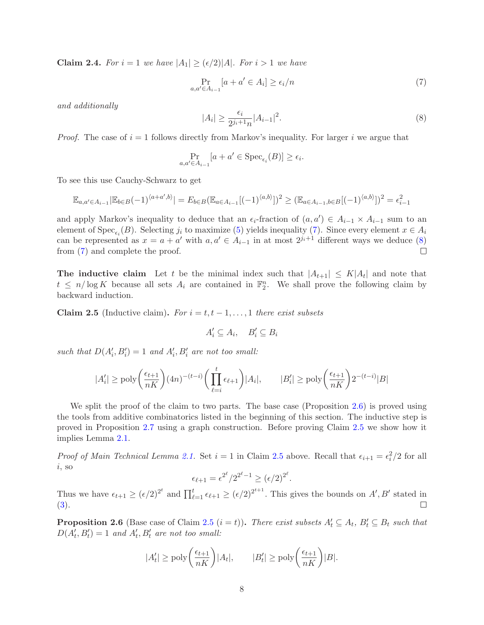**Claim 2.4.** For  $i = 1$  we have  $|A_1| \geq (\epsilon/2)|A|$ . For  $i > 1$  we have

<span id="page-7-0"></span>
$$
\Pr_{a,a' \in A_{i-1}}[a+a' \in A_i] \ge \epsilon_i/n \tag{7}
$$

*and additionally*

$$
|A_i| \ge \frac{\epsilon_i}{2^{j_i+1}n} |A_{i-1}|^2. \tag{8}
$$

*Proof.* The case of  $i = 1$  follows directly from Markov's inequality. For larger i we argue that

<span id="page-7-1"></span>
$$
\Pr_{a,a' \in A_{i-1}}[a + a' \in \text{Spec}_{\epsilon_i}(B)] \ge \epsilon_i.
$$

To see this use Cauchy-Schwarz to get

$$
\mathbb{E}_{a,a'\in A_{i-1}}|\mathbb{E}_{b\in B}(-1)^{\langle a+a',b\rangle}| = E_{b\in B}(\mathbb{E}_{a\in A_{i-1}}[(-1)^{\langle a,b\rangle}])^2 \geq (\mathbb{E}_{a\in A_{i-1},b\in B}[(-1)^{\langle a,b\rangle}])^2 = \epsilon_{i-1}^2
$$

and apply Markov's inequality to deduce that an  $\epsilon_i$ -fraction of  $(a, a') \in A_{i-1} \times A_{i-1}$  sum to an element of Spec<sub> $\epsilon_i(B)$ </sub>. Selecting  $j_i$  to maximize [\(5\)](#page-6-3) yields inequality [\(7\)](#page-7-0). Since every element  $x \in A_i$ can be represented as  $x = a + a'$  with  $a, a' \in A_{i-1}$  in at most  $2^{j_i+1}$  different ways we deduce [\(8\)](#page-7-1) from [\(7\)](#page-7-0) and complete the proof.

<span id="page-7-3"></span>**The inductive claim** Let t be the minimal index such that  $|A_{t+1}| \leq K |A_t|$  and note that  $t \leq n/\log K$  because all sets  $A_i$  are contained in  $\mathbb{F}_2^n$ . We shall prove the following claim by backward induction.

Claim 2.5 (Inductive claim). *For*  $i = t, t - 1, \ldots, 1$  *there exist subsets* 

$$
A'_i \subseteq A_i, \quad B'_i \subseteq B_i
$$

such that  $D(A'_i, B'_i) = 1$  and  $A'_i, B'_i$  are not too small:

$$
|A'_i| \ge \text{poly}\bigg(\frac{\epsilon_{t+1}}{nK}\bigg) (4n)^{-(t-i)} \bigg(\prod_{\ell=i}^t \epsilon_{\ell+1}\bigg) |A_i|, \qquad |B'_i| \ge \text{poly}\bigg(\frac{\epsilon_{t+1}}{nK}\bigg) 2^{-(t-i)} |B|
$$

We split the proof of the claim to two parts. The base case (Proposition [2.6\)](#page-7-2) is proved using the tools from additive combinatorics listed in the beginning of this section. The inductive step is proved in Proposition [2.7](#page-8-0) using a graph construction. Before proving Claim [2.5](#page-7-3) we show how it implies Lemma [2.1.](#page-5-1)

*Proof of Main Technical Lemma [2.1.](#page-5-1)* Set  $i = 1$  in Claim [2.5](#page-7-3) above. Recall that  $\epsilon_{i+1} = \epsilon_i^2/2$  for all  $i$ , so

$$
\epsilon_{\ell+1} = \epsilon^{2^{\ell}}/2^{2^{\ell}-1} \ge (\epsilon/2)^{2^{\ell}}.
$$

Thus we have  $\epsilon_{t+1} \geq (\epsilon/2)^{2^t}$  and  $\prod_{\ell=1}^t \epsilon_{\ell+1} \geq (\epsilon/2)^{2^{t+1}}$ . This gives the bounds on A', B' stated in [\(3\)](#page-5-3).  $\Box$ 

<span id="page-7-2"></span>**Proposition 2.6** (Base case of Claim [2.5](#page-7-3)  $(i = t)$ ). *There exist subsets*  $A'_t \subseteq A_t$ ,  $B'_t \subseteq B_t$  *such that*  $D(A'_t, B'_t) = 1$  and  $A'_t, B'_t$  are not too small:

$$
|A'_t| \ge \text{poly}\bigg(\frac{\epsilon_{t+1}}{nK}\bigg)|A_t|, \qquad |B'_t| \ge \text{poly}\bigg(\frac{\epsilon_{t+1}}{nK}\bigg)|B|.
$$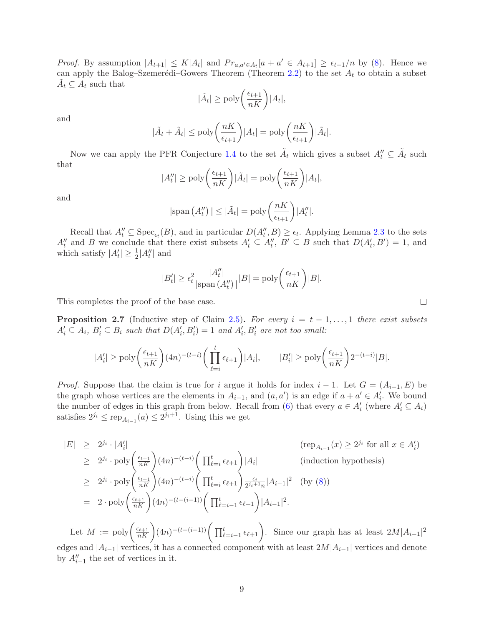*Proof.* By assumption  $|A_{t+1}| \leq K |A_t|$  and  $Pr_{a,a' \in A_t}[a + a' \in A_{t+1}] \geq \epsilon_{t+1}/n$  by [\(8\)](#page-7-1). Hence we can apply the Balog–Szemerédi–Gowers Theorem (Theorem [2.2\)](#page-6-0) to the set  $A_t$  to obtain a subset  $\tilde{A}_t \subseteq A_t$  such that

$$
|\tilde{A}_t| \ge \text{poly}\bigg(\frac{\epsilon_{t+1}}{nK}\bigg)|A_t|,
$$

and

$$
|\tilde{A}_t + \tilde{A}_t| \le \text{poly}\left(\frac{nK}{\epsilon_{t+1}}\right)|A_t| = \text{poly}\left(\frac{nK}{\epsilon_{t+1}}\right)|\tilde{A}_t|.
$$

Now we can apply the PFR Conjecture [1.4](#page-2-0) to the set  $\tilde{A}_t$  which gives a subset  $A''_t \subseteq \tilde{A}_t$  such that

$$
|A_t''| \ge \text{poly}\bigg(\frac{\epsilon_{t+1}}{nK}\bigg) |\tilde{A}_t| = \text{poly}\bigg(\frac{\epsilon_{t+1}}{nK}\bigg) |A_t|,
$$

and

$$
|\text{span}(A_t'')| \leq |\tilde{A}_t| = \text{poly}\left(\frac{nK}{\epsilon_{t+1}}\right)|A_t''|.
$$

Recall that  $A''_t \subseteq \text{Spec}_{\epsilon_t}(B)$ , and in particular  $D(A''_t, B) \ge \epsilon_t$ . Applying Lemma [2.3](#page-6-1) to the sets  $A''_t$  and B we conclude that there exist subsets  $A'_t \subseteq A''_t$ ,  $B' \subseteq B$  such that  $D(A'_t, B') = 1$ , and which satisfy  $|A'_t| \geq \frac{1}{2}|A''_t|$  and

$$
|B'_t| \ge \epsilon_t^2 \frac{|A''_t|}{|\text{span}(A''_t)|} |B| = \text{poly}\left(\frac{\epsilon_{t+1}}{nK}\right)|B|.
$$

<span id="page-8-0"></span>This completes the proof of the base case.

**Proposition 2.7** (Inductive step of Claim [2.5\)](#page-7-3). For every  $i = t - 1, \ldots, 1$  there exist subsets  $A'_i \subseteq A_i$ ,  $B'_i \subseteq B_i$  such that  $D(A'_i, B'_i) = 1$  and  $A'_i, B'_i$  are not too small:

$$
|A'_i| \ge \text{poly}\bigg(\frac{\epsilon_{t+1}}{nK}\bigg) (4n)^{-(t-i)} \bigg(\prod_{\ell=i}^t \epsilon_{\ell+1}\bigg) |A_i|, \qquad |B'_i| \ge \text{poly}\bigg(\frac{\epsilon_{t+1}}{nK}\bigg) 2^{-(t-i)} |B|.
$$

*Proof.* Suppose that the claim is true for i argue it holds for index  $i - 1$ . Let  $G = (A_{i-1}, E)$  be the graph whose vertices are the elements in  $A_{i-1}$ , and  $(a, a')$  is an edge if  $a + a' \in A'$ . We bound the number of edges in this graph from below. Recall from [\(6\)](#page-6-4) that every  $a \in A'_{i}$  (where  $A'_{i} \subseteq A_{i}$ ) satisfies  $2^{j_i} \le \text{rep}_{A_{i-1}}(a) \le 2^{j_i+1}$ . Using this we get

 $|E| \geq 2^{j_i} \cdot |A'_i|$  $|\hspace{.1cm}$  (rep $\hspace{.1cm}$  (rep $\hspace{.1cm}$  $(x) \geq 2^{j_i}$  for all  $x \in A'_i$  $\geq 2^{j_i} \cdot \text{poly}\left(\frac{\epsilon_{t+1}}{nK}\right) (4n)^{-(t-i)} \left( \prod_{\ell=i}^t \epsilon_{\ell+1} \right) |A_i|$  (induction hypothesis)  $\geq 2^{j_i} \cdot \text{poly}\left(\frac{\epsilon_{t+1}}{nK}\right) (4n)^{-(t-i)} \left( \prod_{\ell=i}^t \epsilon_{\ell+1} \right) \frac{\epsilon_i}{2^{j_i+1}}$  $\frac{\epsilon_i}{2^{j_i+1}n}|A_{i-1}|^2$  (by [\(8\)](#page-7-1))  $= 2 \cdot \text{poly}\left(\frac{\epsilon_{t+1}}{nK}\right) (4n)^{-(t-(i-1))}\left(\prod_{\ell=i-1}^t \epsilon_{\ell+1}\right) |A_{i-1}|^2.$ 

Let  $M := poly\left(\frac{\epsilon_{t+1}}{nK}\right)(4n)^{-(t-(i-1))}\left(\prod_{\ell=i-1}^t \epsilon_{\ell+1}\right)$ . Since our graph has at least  $2M|A_{i-1}|^2$ edges and  $|A_{i-1}|$  vertices, it has a connected component with at least  $2M|A_{i-1}|$  vertices and denote by  $A''_{i-1}$  the set of vertices in it.

 $\Box$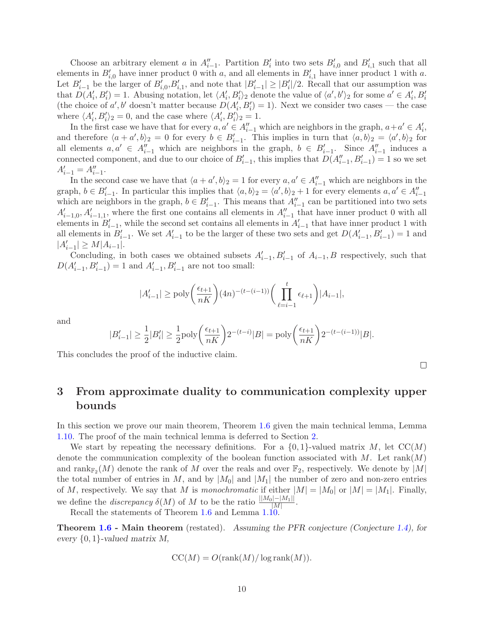Choose an arbitrary element a in  $A''_{i-1}$ . Partition  $B'_i$  into two sets  $B'_{i,0}$  and  $B'_{i,1}$  such that all elements in  $B'_{i,0}$  have inner product 0 with a, and all elements in  $B'_{i,1}$  have inner product 1 with a. Let  $B'_{i-1}$  be the larger of  $B'_{i,0}, B'_{i,1}$ , and note that  $|B'_{i-1}| \geq |B'_{i}|/2$ . Recall that our assumption was that  $D(A'_i, B'_i) = 1$ . Abusing notation, let  $\langle A'_i, B'_i \rangle_2$  denote the value of  $\langle a', b' \rangle_2$  for some  $a' \in A'_i, B'_i$ (the choice of a', b' doesn't matter because  $D(A'_i, B'_i) = 1$ ). Next we consider two cases — the case where  $\langle A'_i, B'_i \rangle_2 = 0$ , and the case where  $\langle A'_i, B'_i \rangle_2 = 1$ .

In the first case we have that for every  $a, a' \in A_{i-1}''$  which are neighbors in the graph,  $a + a' \in A_i'$ , and therefore  $\langle a + a', b \rangle_2 = 0$  for every  $b \in B'_{i-1}$ . This implies in turn that  $\langle a, b \rangle_2 = \langle a', b \rangle_2$  for all elements  $a, a' \in A''_{i-1}$  which are neighbors in the graph,  $b \in B'_{i-1}$ . Since  $A''_{i-1}$  induces a connected component, and due to our choice of  $B'_{i-1}$ , this implies that  $D(A''_{i-1}, B'_{i-1}) = 1$  so we set  $A'_{i-1} = A''_{i-1}.$ 

In the second case we have that  $\langle a + a', b \rangle_2 = 1$  for every  $a, a' \in A''_{i-1}$  which are neighbors in the graph,  $b \in B'_{i-1}$ . In particular this implies that  $\langle a, b \rangle_2 = \langle a', b \rangle_2 + 1$  for every elements  $a, a' \in A''_{i-1}$ which are neighbors in the graph,  $b \in B'_{i-1}$ . This means that  $A''_{i-1}$  can be partitioned into two sets  $A'_{i-1,0}, A'_{i-1,1}$ , where the first one contains all elements in  $A''_{i-1}$  that have inner product 0 with all elements in  $B'_{i-1}$ , while the second set contains all elements in  $A'_{i-1}$  that have inner product 1 with all elements in  $B'_{i-1}$ . We set  $A'_{i-1}$  to be the larger of these two sets and get  $D(A'_{i-1}, B'_{i-1}) = 1$  and  $|A'_{i-1}| \geq M |A_{i-1}|.$ 

Concluding, in both cases we obtained subsets  $A'_{i-1}, B'_{i-1}$  of  $A_{i-1}, B$  respectively, such that  $D(A'_{i-1}, B'_{i-1}) = 1$  and  $A'_{i-1}, B'_{i-1}$  are not too small:

$$
|A'_{i-1}| \ge \mathrm{poly}\bigg(\frac{\epsilon_{t+1}}{nK}\bigg) (4n)^{-(t-(i-1))}\bigg(\prod_{\ell=i-1}^t \epsilon_{\ell+1}\bigg) |A_{i-1}|,
$$

and

$$
|B'_{i-1}| \geq \frac{1}{2}|B'_i| \geq \frac{1}{2}\mathrm{poly}\bigg(\frac{\epsilon_{t+1}}{nK}\bigg)2^{-(t-i)}|B| = \mathrm{poly}\bigg(\frac{\epsilon_{t+1}}{nK}\bigg)2^{-(t-(i-1))}|B|.
$$

This concludes the proof of the inductive claim.

## <span id="page-9-0"></span>3 From approximate duality to communication complexity upper bounds

In this section we prove our main theorem, Theorem [1.6](#page-2-1) given the main technical lemma, Lemma [1.10.](#page-3-1) The proof of the main technical lemma is deferred to Section [2.](#page-5-0)

We start by repeating the necessary definitions. For a  $\{0,1\}$ -valued matrix M, let  $\mathrm{CC}(M)$ denote the communication complexity of the boolean function associated with  $M$ . Let rank $(M)$ and  $\text{rank}_{\mathbb{F}_2}(M)$  denote the rank of M over the reals and over  $\mathbb{F}_2$ , respectively. We denote by  $|M|$ the total number of entries in M, and by  $|M_0|$  and  $|M_1|$  the number of zero and non-zero entries of M, respectively. We say that M is *monochromatic* if either  $|M| = |M_0|$  or  $|M| = |M_1|$ . Finally, we define the *discrepancy*  $\delta(M)$  of M to be the ratio  $\frac{||M_0|-|M_1||}{|M|}$ .

Recall the statements of Theorem [1.6](#page-2-1) and Lemma [1.10.](#page-3-1)

**Theorem [1.6](#page-2-1) - Main theorem** (restated). Assuming the PFR conjecture (Conjecture [1.4\)](#page-2-0), for every  $\{0, 1\}$ -valued matrix M,

$$
CC(M) = O(\text{rank}(M)/\log \text{rank}(M)).
$$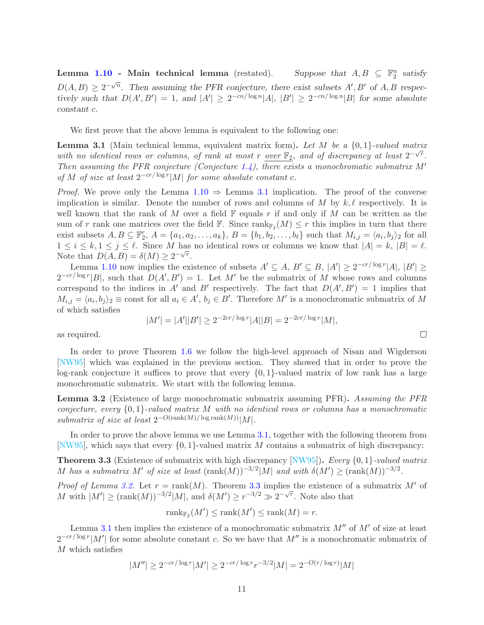Lemma  $1.10$  - Main technical lemma (restated).  $\frac{n}{2}$  satisfy  $D(A, B) \geq 2^{-\sqrt{n}}$ . Then assuming the PFR conjecture, there exist subsets A', B' of A, B respectively such that  $D(A', B') = 1$ , and  $|A'| \geq 2^{-cn/\log n} |A|$ ,  $|B'| \geq 2^{-cn/\log n} |B|$  for some absolute constant c.

We first prove that the above lemma is equivalent to the following one:

<span id="page-10-0"></span>Lemma 3.1 (Main technical lemma, equivalent matrix form). *Let* M *be a* {0, 1}*-valued matrix* with no identical rows or columns, of rank at most r <u>over</u>  $\mathbb{F}_2$ , and of discrepancy at least  $2^{-\sqrt{r}}$ . *Then assuming the PFR conjecture (Conjecture [1.4\)](#page-2-0), there exists a monochromatic submatrix* M′ *of* M *of size at least*  $2^{-cr/\log r}|M|$  *for some absolute constant c.* 

*Proof.* We prove only the Lemma  $1.10 \Rightarrow$  $1.10 \Rightarrow$  Lemma [3.1](#page-10-0) implication. The proof of the converse implication is similar. Denote the number of rows and columns of M by  $k, \ell$  respectively. It is well known that the rank of M over a field  $\mathbb F$  equals r if and only if M can be written as the sum of r rank one matrices over the field  $\mathbb{F}$ . Since  $\text{rank}_{\mathbb{F}_2}(M) \leq r$  this implies in turn that there exist subsets  $A, B \subseteq \mathbb{F}_2^r$ ,  $A = \{a_1, a_2, \ldots, a_k\}$ ,  $B = \{b_1, b_2, \ldots, b_\ell\}$  such that  $M_{i,j} = \langle a_i, b_j \rangle_2$  for all  $1 \leq i \leq k, 1 \leq j \leq \ell$ . Since M has no identical rows or columns we know that  $|A| = k$ ,  $|B| = \ell$ . Note that  $D(A, B) = \delta(M) \geq 2^{-\sqrt{r}}$ .

Lemma [1.10](#page-3-1) now implies the existence of subsets  $A' \subseteq A$ ,  $B' \subseteq B$ ,  $|A'| \geq 2^{-cr/\log r} |A|$ ,  $|B'| \geq$  $2^{-cr/\log r}|B|$ , such that  $D(A', B') = 1$ . Let M' be the submatrix of M whose rows and columns correspond to the indices in A' and B' respectively. The fact that  $D(A',B')=1$  implies that  $M_{i,j} = \langle a_i, b_j \rangle_2 \equiv \text{const}$  for all  $a_i \in A', b_j \in B'$ . Therefore M' is a monochromatic submatrix of M of which satisfies

$$
|M'| = |A'||B'| \ge 2^{-2cr/\log r} |A||B| = 2^{-2cr/\log r} |M|,
$$

as required.

In order to prove Theorem [1.6](#page-2-1) we follow the high-level approach of Nisan and Wigderson [\[NW95\]](#page--1-1) which was explained in the previous section. They showed that in order to prove the log-rank conjecture it suffices to prove that every  $\{0, 1\}$ -valued matrix of low rank has a large monochromatic submatrix. We start with the following lemma.

<span id="page-10-1"></span>Lemma 3.2 (Existence of large monochromatic submatrix assuming PFR). *Assuming the PFR conjecture, every* {0, 1}*-valued matrix* M *with no identical rows or columns has a monochromatic submatrix of size at least*  $2^{-O(\text{rank}(M)/\log \text{rank}(M))}|M|$ .

<span id="page-10-2"></span>In order to prove the above lemma we use Lemma [3.1,](#page-10-0) together with the following theorem from [\[NW95\]](#page--1-1), which says that every  $\{0, 1\}$ -valued matrix M contains a submatrix of high discrepancy:

Theorem 3.3 (Existence of submatrix with high discrepancy [\[NW95\]](#page--1-1)). *Every* {0, 1}*-valued matrix* M has a submatrix M' of size at least  $(\text{rank}(M))^{-3/2}|M|$  and with  $\delta(M') \geq (\text{rank}(M))^{-3/2}$ .

*Proof of Lemma [3.2.](#page-10-1)* Let  $r = \text{rank}(M)$ . Theorem [3.3](#page-10-2) implies the existence of a submatrix M' of M with  $|M'| \geq (\text{rank}(M))^{-3/2}|M|$ , and  $\delta(M') \geq r^{-3/2} \gg 2^{-\sqrt{r}}$ . Note also that

$$
rank_{\mathbb{F}_2}(M') \le rank(M') \le rank(M) = r.
$$

Lemma [3.1](#page-10-0) then implies the existence of a monochromatic submatrix  $M''$  of  $M'$  of size at least  $2^{-cr/\log r}|M'|$  for some absolute constant c. So we have that  $M''$  is a monochromatic submatrix of M which satisfies

$$
|M''| \ge 2^{-cr/\log r}|M'| \ge 2^{-cr/\log r}r^{-3/2}|M| = 2^{-O(r/\log r)}|M|
$$

| ۰ |  |  |
|---|--|--|
|   |  |  |
|   |  |  |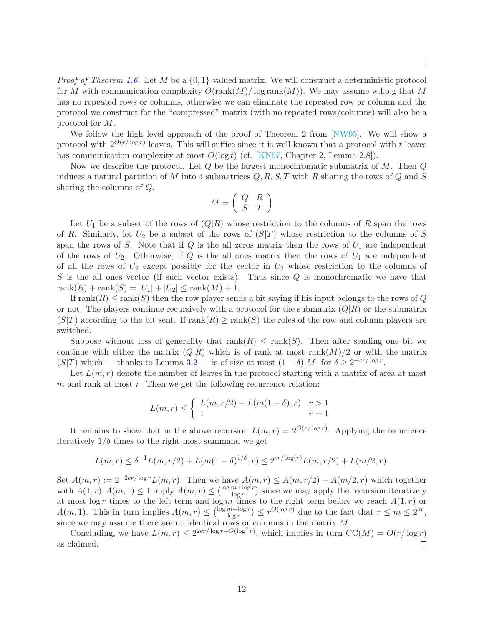*Proof of Theorem [1.6.](#page-2-1)* Let M be a {0, 1}-valued matrix. We will construct a deterministic protocol for M with communication complexity  $O(\text{rank}(M)/\log \text{rank}(M))$ . We may assume w.l.o.g that M has no repeated rows or columns, otherwise we can eliminate the repeated row or column and the protocol we construct for the "compressed" matrix (with no repeated rows/columns) will also be a protocol for M.

We follow the high level approach of the proof of Theorem 2 from [\[NW95\]](#page--1-1). We will show a protocol with  $2^{O(r/\log r)}$  leaves. This will suffice since it is well-known that a protocol with t leaves has communication complexity at most  $O(\log t)$  (cf. [\[KN97,](#page-12-0) Chapter 2, Lemma 2.8]).

Now we describe the protocol. Let  $Q$  be the largest monochromatic submatrix of  $M$ . Then  $Q$ induces a natural partition of M into 4 submatrices  $Q, R, S, T$  with R sharing the rows of Q and S sharing the columns of Q.

$$
M = \left(\begin{array}{cc} Q & R \\ S & T \end{array}\right)
$$

Let  $U_1$  be a subset of the rows of  $(Q|R)$  whose restriction to the columns of R span the rows of R. Similarly, let  $U_2$  be a subset of the rows of  $(S|T)$  whose restriction to the columns of S span the rows of S. Note that if  $Q$  is the all zeros matrix then the rows of  $U_1$  are independent of the rows of  $U_2$ . Otherwise, if Q is the all ones matrix then the rows of  $U_1$  are independent of all the rows of  $U_2$  except possibly for the vector in  $U_2$  whose restriction to the columns of  $S$  is the all ones vector (if such vector exists). Thus since  $Q$  is monochromatic we have that  $rank(R) + rank(S) = |U_1| + |U_2| \leq rank(M) + 1.$ 

If rank(R)  $\leq$  rank(S) then the row player sends a bit saying if his input belongs to the rows of Q or not. The players continue recursively with a protocol for the submatrix  $(Q|R)$  or the submatrix  $(S|T)$  according to the bit sent. If  $rank(R) \geq rank(S)$  the roles of the row and column players are switched.

Suppose without loss of generality that  $rank(R) \leq rank(S)$ . Then after sending one bit we continue with either the matrix  $(Q|R)$  which is of rank at most rank $(M)/2$  or with the matrix  $(S|T)$  which — thanks to Lemma [3.2](#page-10-1) — is of size at most  $(1 - \delta)|M|$  for  $\delta \geq 2^{-cr/\log r}$ .

Let  $L(m, r)$  denote the number of leaves in the protocol starting with a matrix of area at most  $m$  and rank at most  $r$ . Then we get the following recurrence relation:

$$
L(m,r) \leq \begin{cases} L(m,r/2) + L(m(1-\delta),r) & r > 1\\ 1 & r = 1 \end{cases}
$$

It remains to show that in the above recursion  $L(m,r) = 2^{O(r/\log r)}$ . Applying the recurrence iteratively  $1/\delta$  times to the right-most summand we get

$$
L(m,r) \leq \delta^{-1}L(m,r/2) + L(m(1-\delta)^{1/\delta}, r) \leq 2^{cr/\log(r)}L(m,r/2) + L(m/2,r).
$$

Set  $A(m,r) := 2^{-2cr/\log r} L(m,r)$ . Then we have  $A(m,r) \leq A(m,r/2) + A(m/2,r)$  which together with  $A(1, r), A(m, 1) \le 1$  imply  $A(m, r) \le {\log m + \log r \choose \log r}$  $\frac{m + \log r}{\log r}$  since we may apply the recursion iteratively at most log r times to the left term and log m times to the right term before we reach  $A(1,r)$  or  $A(m, 1)$ . This in turn implies  $A(m, r) \leq {\log m + \log r \choose \log r}$  $\binom{m + \log r}{\log r} \leq r^{O(\log r)}$  due to the fact that  $r \leq m \leq 2^{2r}$ , since we may assume there are no identical rows or columns in the matrix  $M$ .

Concluding, we have  $L(m,r) \leq 2^{2cr/\log r + O(\log^2 r)}$ , which implies in turn  $CC(M) = O(r/\log r)$ as claimed.  $\Box$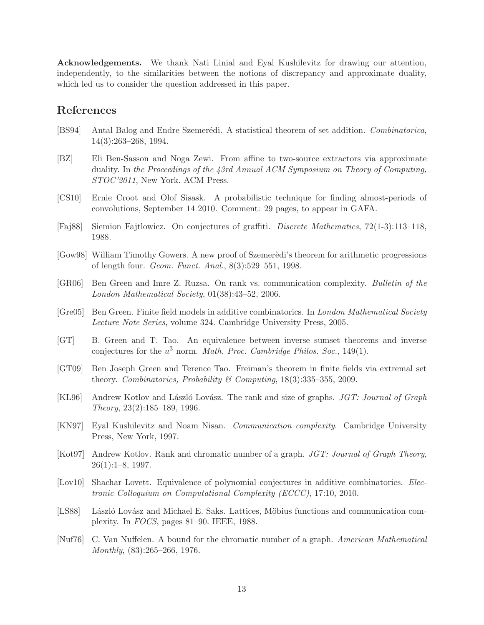Acknowledgements. We thank Nati Linial and Eyal Kushilevitz for drawing our attention, independently, to the similarities between the notions of discrepancy and approximate duality, which led us to consider the question addressed in this paper.

### References

- <span id="page-12-13"></span>[BS94] Antal Balog and Endre Szemerédi. A statistical theorem of set addition. *Combinatorica*, 14(3):263–268, 1994.
- <span id="page-12-12"></span>[BZ] Eli Ben-Sasson and Noga Zewi. From affine to two-source extractors via approximate duality. In *the Proceedings of the 43rd Annual ACM Symposium on Theory of Computing, STOC'2011*, New York. ACM Press.
- <span id="page-12-9"></span>[CS10] Ernie Croot and Olof Sisask. A probabilistic technique for finding almost-periods of convolutions, September 14 2010. Comment: 29 pages, to appear in GAFA.
- <span id="page-12-3"></span>[Faj88] Siemion Fajtlowicz. On conjectures of graffiti. *Discrete Mathematics*, 72(1-3):113–118, 1988.
- <span id="page-12-14"></span>[Gow98] William Timothy Gowers. A new proof of Szemeredi's theorem for arithmetic progressions of length four. *Geom. Funct. Anal.*, 8(3):529–551, 1998.
- <span id="page-12-6"></span>[GR06] Ben Green and Imre Z. Ruzsa. On rank vs. communication complexity. *Bulletin of the London Mathematical Society*, 01(38):43–52, 2006.
- <span id="page-12-8"></span>[Gre05] Ben Green. Finite field models in additive combinatorics. In *London Mathematical Society Lecture Note Series*, volume 324. Cambridge University Press, 2005.
- <span id="page-12-11"></span>[GT] B. Green and T. Tao. An equivalence between inverse sumset theorems and inverse conjectures for the u <sup>3</sup> norm. *Math. Proc. Cambridge Philos. Soc.*, 149(1).
- <span id="page-12-7"></span>[GT09] Ben Joseph Green and Terence Tao. Freiman's theorem in finite fields via extremal set theory. *Combinatorics, Probability & Computing*, 18(3):335–355, 2009.
- <span id="page-12-5"></span>[KL96] Andrew Kotlov and László Lovász. The rank and size of graphs. *JGT: Journal of Graph Theory*, 23(2):185–189, 1996.
- <span id="page-12-0"></span>[KN97] Eyal Kushilevitz and Noam Nisan. *Communication complexity*. Cambridge University Press, New York, 1997.
- <span id="page-12-4"></span>[Kot97] Andrew Kotlov. Rank and chromatic number of a graph. *JGT: Journal of Graph Theory*,  $26(1):1-8$ , 1997.
- <span id="page-12-10"></span>[Lov10] Shachar Lovett. Equivalence of polynomial conjectures in additive combinatorics. *Electronic Colloquium on Computational Complexity (ECCC)*, 17:10, 2010.
- <span id="page-12-1"></span>[LS88] László Lovász and Michael E. Saks. Lattices, Möbius functions and communication complexity. In *FOCS*, pages 81–90. IEEE, 1988.
- <span id="page-12-2"></span>[Nuf76] C. Van Nuffelen. A bound for the chromatic number of a graph. *American Mathematical Monthly*, (83):265–266, 1976.